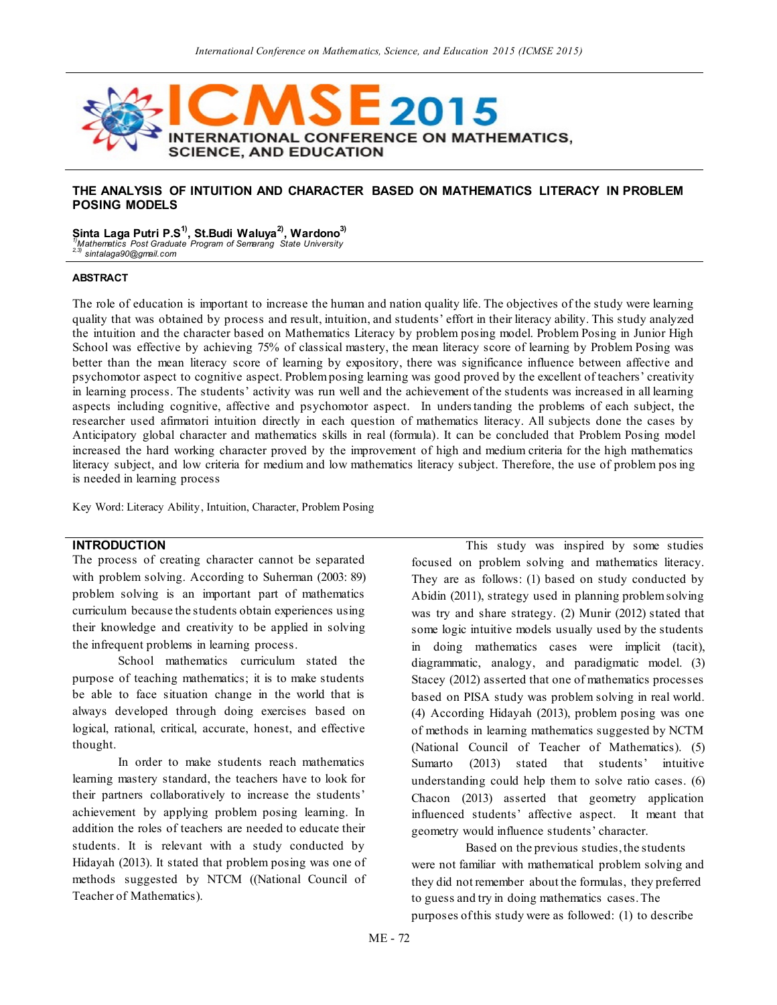

## **THE ANALYSIS OF INTUITION AND CHARACTER BASED ON MATHEMATICS LITERACY IN PROBLEM POSING MODELS**

**Sinta Laga Putri P.S1), St.Budi Waluya2), Wardono3)**

*1)Mathematics Post Graduate Program of Semarang State University 2,3) sintalaga90@gmail.com*

#### **ABSTRACT**

The role of education is important to increase the human and nation quality life. The objectives of the study were learning quality that was obtained by process and result, intuition, and students' effort in their literacy ability. This study analyzed the intuition and the character based on Mathematics Literacy by problem posing model. Problem Posing in Junior High School was effective by achieving 75% of classical mastery, the mean literacy score of learning by Problem Posing was better than the mean literacy score of learning by expository, there was significance influence between affective and psychomotor aspect to cognitive aspect. Problem posing learning was good proved by the excellent of teachers' creativity in learning process. The students' activity was run well and the achievement of the students was increased in all learning aspects including cognitive, affective and psychomotor aspect. In understanding the problems of each subject, the researcher used afirmatori intuition directly in each question of mathematics literacy. All subjects done the cases by Anticipatory global character and mathematics skills in real (formula). It can be concluded that Problem Posing model increased the hard working character proved by the improvement of high and medium criteria for the high mathematics literacy subject, and low criteria for medium and low mathematics literacy subject. Therefore, the use of problem pos ing is needed in learning process

Key Word: Literacy Ability, Intuition, Character, Problem Posing

## **INTRODUCTION**

The process of creating character cannot be separated with problem solving. According to Suherman (2003: 89) problem solving is an important part of mathematics curriculum because the students obtain experiences using their knowledge and creativity to be applied in solving the infrequent problems in learning process.

School mathematics curriculum stated the purpose of teaching mathematics; it is to make students be able to face situation change in the world that is always developed through doing exercises based on logical, rational, critical, accurate, honest, and effective thought.

In order to make students reach mathematics learning mastery standard, the teachers have to look for their partners collaboratively to increase the students' achievement by applying problem posing learning. In addition the roles of teachers are needed to educate their students. It is relevant with a study conducted by Hidayah (2013). It stated that problem posing was one of methods suggested by NTCM ((National Council of Teacher of Mathematics).

This study was inspired by some studies focused on problem solving and mathematics literacy. They are as follows: (1) based on study conducted by Abidin (2011), strategy used in planning problem solving was try and share strategy. (2) Munir (2012) stated that some logic intuitive models usually used by the students in doing mathematics cases were implicit (tacit), diagrammatic, analogy, and paradigmatic model. (3) Stacey (2012) asserted that one of mathematics processes based on PISA study was problem solving in real world. (4) According Hidayah (2013), problem posing was one of methods in learning mathematics suggested by NCTM (National Council of Teacher of Mathematics). (5) Sumarto (2013) stated that students' intuitive understanding could help them to solve ratio cases. (6) Chacon (2013) asserted that geometry application influenced students' affective aspect. It meant that geometry would influence students' character.

Based on the previous studies, the students were not familiar with mathematical problem solving and they did not remember about the formulas, they preferred to guess and try in doing mathematics cases. The purposes of this study were as followed: (1) to describe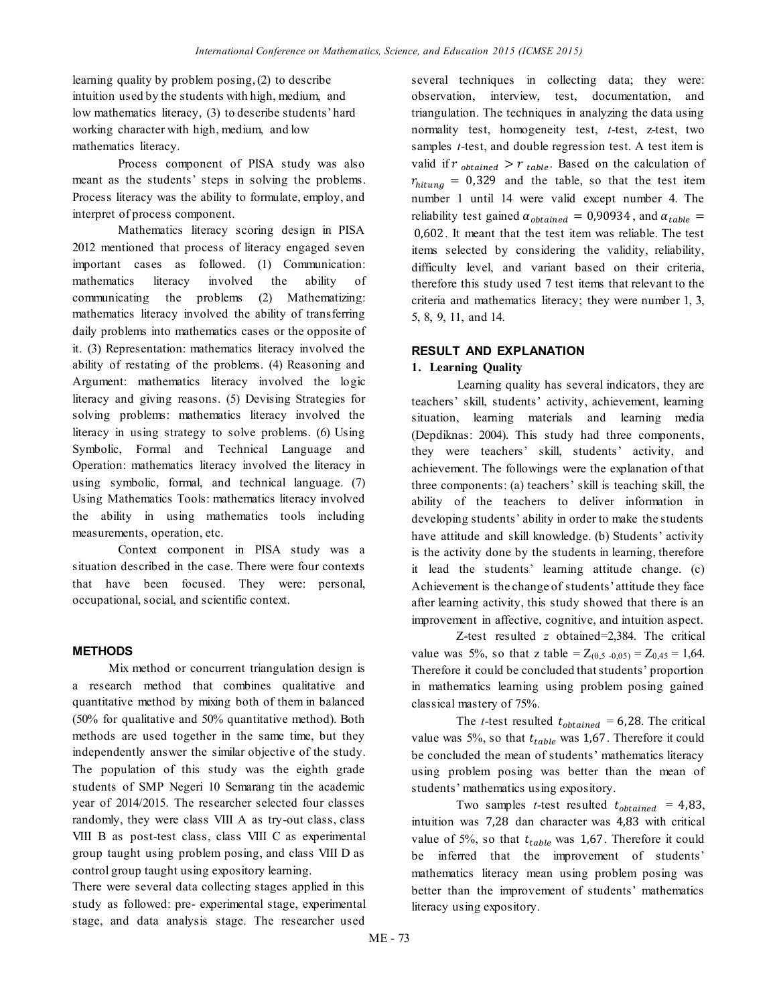learning quality by problem posing, (2) to describe intuition used by the students with high, medium, and low mathematics literacy, (3) to describe students' hard working character with high, medium, and low mathematics literacy.

Process component of PISA study was also meant as the students' steps in solving the problems. Process literacy was the ability to formulate, employ, and interpret of process component.

Mathematics literacy scoring design in PISA 2012 mentioned that process of literacy engaged seven important cases as followed. (1) Communication: mathematics literacy involved the ability of communicating the problems (2) Mathematizing: mathematics literacy involved the ability of transferring daily problems into mathematics cases or the opposite of it. (3) Representation: mathematics literacy involved the ability of restating of the problems. (4) Reasoning and Argument: mathematics literacy involved the logic literacy and giving reasons. (5) Devising Strategies for solving problems: mathematics literacy involved the literacy in using strategy to solve problems. (6) Using Symbolic, Formal and Technical Language and Operation: mathematics literacy involved the literacy in using symbolic, formal, and technical language. (7) Using Mathematics Tools: mathematics literacy involved the ability in using mathematics tools including measurements, operation, etc.

Context component in PISA study was a situation described in the case. There were four contexts that have been focused. They were: personal, occupational, social, and scientific context.

## **METHODS**

Mix method or concurrent triangulation design is a research method that combines qualitative and quantitative method by mixing both of them in balanced (50% for qualitative and 50% quantitative method). Both methods are used together in the same time, but they independently answer the similar objective of the study. The population of this study was the eighth grade students of SMP Negeri 10 Semarang tin the academic year of 2014/2015. The researcher selected four classes randomly, they were class VIII A as try-out class, class VIII B as post-test class, class VIII C as experimental group taught using problem posing, and class VIII D as control group taught using expository learning.

There were several data collecting stages applied in this study as followed: pre- experimental stage, experimental stage, and data analysis stage. The researcher used

several techniques in collecting data; they were: observation, interview, test, documentation, and triangulation. The techniques in analyzing the data using normality test, homogeneity test, *t*-test, z-test, two samples *t-*test, and double regression test. A test item is valid if  $r_{obtained} > r_{table}$ . Based on the calculation of  $r_{hitung} = 0.329$  and the table, so that the test item number 1 until 14 were valid except number 4. The reliability test gained  $\alpha_{obtained} = 0.90934$ , and  $\alpha_{table} =$  . It meant that the test item was reliable. The test items selected by considering the validity, reliability, difficulty level, and variant based on their criteria, therefore this study used 7 test items that relevant to the criteria and mathematics literacy; they were number 1, 3, 5, 8, 9, 11, and 14.

## **RESULT AND EXPLANATION**

### **1. Learning Quality**

Learning quality has several indicators, they are teachers' skill, students' activity, achievement, learning situation, learning materials and learning media (Depdiknas: 2004). This study had three components, they were teachers' skill, students' activity, and achievement. The followings were the explanation of that three components: (a) teachers' skill is teaching skill, the ability of the teachers to deliver information in developing students' ability in order to make the students have attitude and skill knowledge. (b) Students' activity is the activity done by the students in learning, therefore it lead the students' learning attitude change. (c) Achievement is the change of students' attitude they face after learning activity, this study showed that there is an improvement in affective, cognitive, and intuition aspect.

Z-test resulted *z* obtained=2,384. The critical value was 5%, so that z table =  $Z_{(0,5, -0,05)} = Z_{0,45} = 1,64$ . Therefore it could be concluded that students' proportion in mathematics learning using problem posing gained classical mastery of 75%.

The *t*-test resulted  $t_{obtained} = 6,28$ . The critical value was 5%, so that  $t_{table}$  was 1,67. Therefore it could be concluded the mean of students' mathematics literacy using problem posing was better than the mean of students' mathematics using expository.

Two samples *t*-test resulted  $t_{obtained} = 4.83$ , intuition was 7,28 dan character was 4,83 with critical value of 5%, so that  $t_{table}$  was 1,67. Therefore it could be inferred that the improvement of students' mathematics literacy mean using problem posing was better than the improvement of students' mathematics literacy using expository.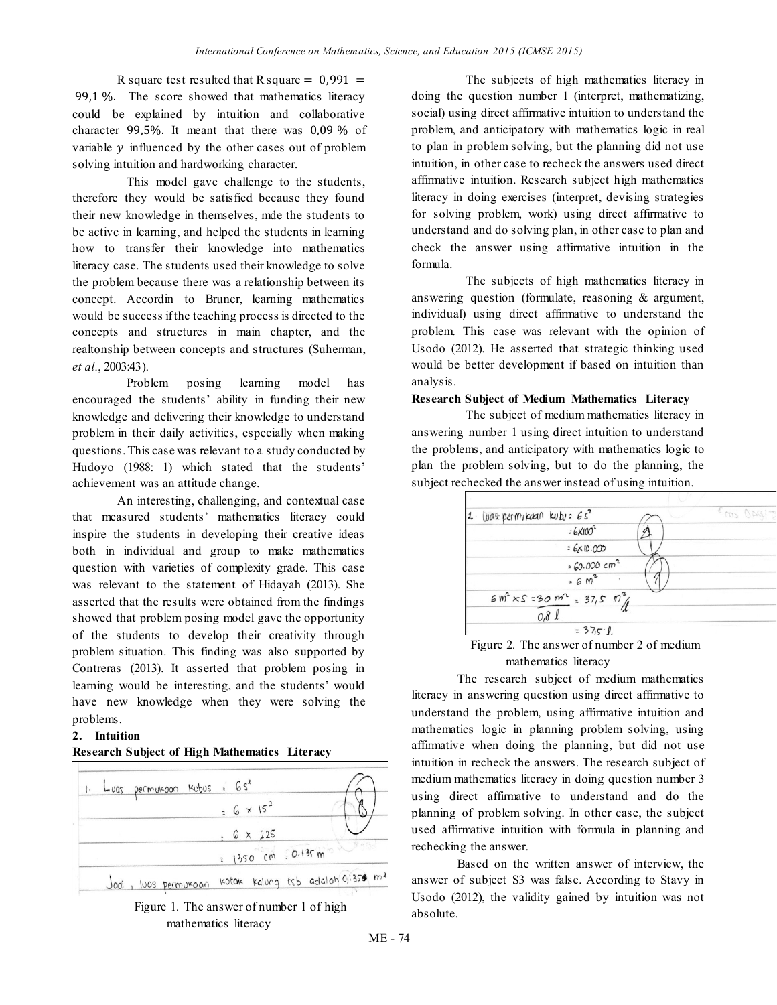R square test resulted that R square  $= 0.991$  = 99,1 %. The score showed that mathematics literacy could be explained by intuition and collaborative character 99,5%. It meant that there was  $0.09\%$  of variable  $y$  influenced by the other cases out of problem solving intuition and hardworking character.

This model gave challenge to the students, therefore they would be satisfied because they found their new knowledge in themselves, mde the students to be active in learning, and helped the students in learning how to transfer their knowledge into mathematics literacy case. The students used their knowledge to solve the problem because there was a relationship between its concept. Accordin to Bruner, learning mathematics would be success if the teaching process is directed to the concepts and structures in main chapter, and the realtonship between concepts and structures (Suherman, *et al.*, 2003:43).

Problem posing learning model has encouraged the students' ability in funding their new knowledge and delivering their knowledge to understand problem in their daily activities, especially when making questions. This case was relevant to a study conducted by Hudoyo (1988: 1) which stated that the students' achievement was an attitude change.

An interesting, challenging, and contextual case that measured students' mathematics literacy could inspire the students in developing their creative ideas both in individual and group to make mathematics question with varieties of complexity grade. This case was relevant to the statement of Hidayah (2013). She asserted that the results were obtained from the findings showed that problem posing model gave the opportunity of the students to develop their creativity through problem situation. This finding was also supported by Contreras (2013). It asserted that problem posing in learning would be interesting, and the students' would have new knowledge when they were solving the problems.

## **2. Intuition**

## **Research Subject of High Mathematics Literacy**





The subjects of high mathematics literacy in doing the question number 1 (interpret, mathematizing, social) using direct affirmative intuition to understand the problem, and anticipatory with mathematics logic in real to plan in problem solving, but the planning did not use intuition, in other case to recheck the answers used direct affirmative intuition. Research subject high mathematics literacy in doing exercises (interpret, devising strategies for solving problem, work) using direct affirmative to understand and do solving plan, in other case to plan and check the answer using affirmative intuition in the formula.

The subjects of high mathematics literacy in answering question (formulate, reasoning & argument, individual) using direct affirmative to understand the problem. This case was relevant with the opinion of Usodo (2012). He asserted that strategic thinking used would be better development if based on intuition than analysis.

### **Research Subject of Medium Mathematics Literacy**

The subject of medium mathematics literacy in answering number 1 using direct intuition to understand the problems, and anticipatory with mathematics logic to plan the problem solving, but to do the planning, the subject rechecked the answer instead of using intuition.

| $1.$ Was permukaan kubu: $6s^2$            | Em Opgi- |
|--------------------------------------------|----------|
| $=6\times100^{2}$                          |          |
| $=6 \times 10.000$                         |          |
| \$60.000 cm <sup>2</sup>                   |          |
| $= 6 M2$                                   |          |
| $6 m^{2} \times S = 30 m^{2} = 37.5 m^{2}$ |          |
| 0,8l                                       |          |
| $= 375.8$                                  |          |

Figure 2. The answer of number 2 of medium mathematics literacy

The research subject of medium mathematics literacy in answering question using direct affirmative to understand the problem, using affirmative intuition and mathematics logic in planning problem solving, using affirmative when doing the planning, but did not use intuition in recheck the answers. The research subject of medium mathematics literacy in doing question number 3 using direct affirmative to understand and do the planning of problem solving. In other case, the subject used affirmative intuition with formula in planning and rechecking the answer.

Based on the written answer of interview, the answer of subject S3 was false. According to Stavy in Usodo (2012), the validity gained by intuition was not absolute.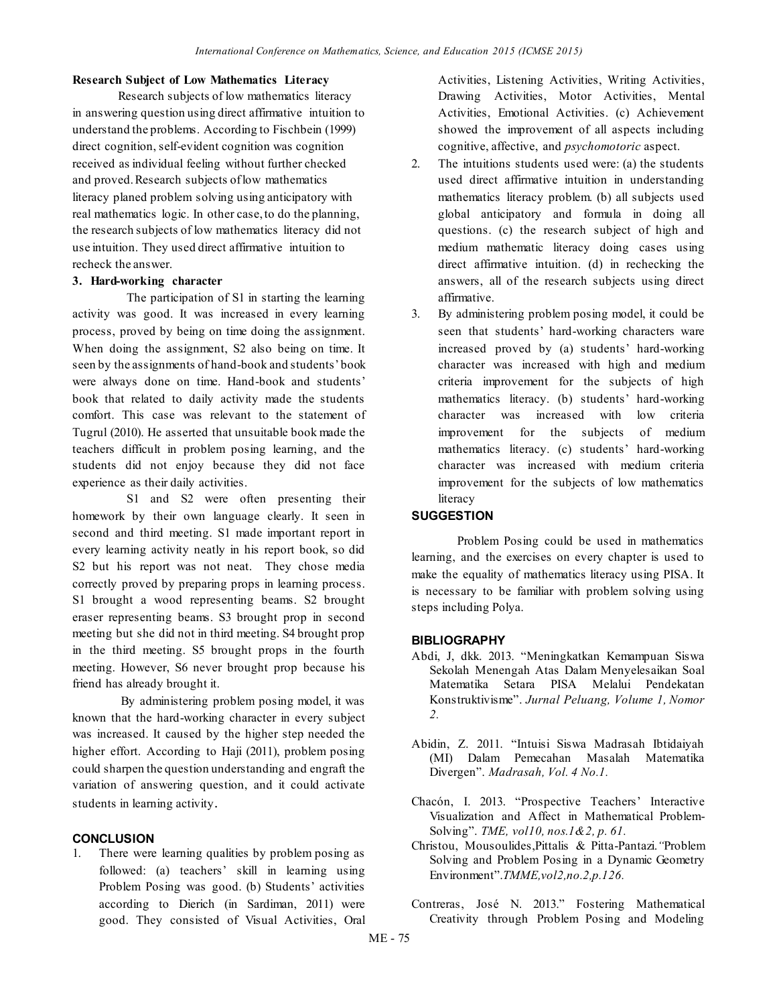## **Research Subject of Low Mathematics Literacy**

Research subjects of low mathematics literacy in answering question using direct affirmative intuition to understand the problems. According to Fischbein (1999) direct cognition, self-evident cognition was cognition received as individual feeling without further checked and proved. Research subjects of low mathematics literacy planed problem solving using anticipatory with real mathematics logic. In other case, to do the planning, the research subjects of low mathematics literacy did not use intuition. They used direct affirmative intuition to recheck the answer.

## **3. Hard-working character**

The participation of S1 in starting the learning activity was good. It was increased in every learning process, proved by being on time doing the assignment. When doing the assignment, S2 also being on time. It seen by the assignments of hand-book and students' book were always done on time. Hand-book and students' book that related to daily activity made the students comfort. This case was relevant to the statement of Tugrul (2010). He asserted that unsuitable book made the teachers difficult in problem posing learning, and the students did not enjoy because they did not face experience as their daily activities.

S1 and S2 were often presenting their homework by their own language clearly. It seen in second and third meeting. S1 made important report in every learning activity neatly in his report book, so did S2 but his report was not neat. They chose media correctly proved by preparing props in learning process. S1 brought a wood representing beams. S2 brought eraser representing beams. S3 brought prop in second meeting but she did not in third meeting. S4 brought prop in the third meeting. S5 brought props in the fourth meeting. However, S6 never brought prop because his friend has already brought it.

By administering problem posing model, it was known that the hard-working character in every subject was increased. It caused by the higher step needed the higher effort. According to Haji (2011), problem posing could sharpen the question understanding and engraft the variation of answering question, and it could activate students in learning activity.

## **CONCLUSION**

1. There were learning qualities by problem posing as followed: (a) teachers' skill in learning using Problem Posing was good. (b) Students' activities according to Dierich (in Sardiman, 2011) were good. They consisted of Visual Activities, Oral

Activities, Listening Activities, Writing Activities, Drawing Activities, Motor Activities, Mental Activities, Emotional Activities. (c) Achievement showed the improvement of all aspects including cognitive, affective, and *psychomotoric* aspect.

- 2. The intuitions students used were: (a) the students used direct affirmative intuition in understanding mathematics literacy problem. (b) all subjects used global anticipatory and formula in doing all questions. (c) the research subject of high and medium mathematic literacy doing cases using direct affirmative intuition. (d) in rechecking the answers, all of the research subjects using direct affirmative.
- 3. By administering problem posing model, it could be seen that students' hard-working characters ware increased proved by (a) students' hard-working character was increased with high and medium criteria improvement for the subjects of high mathematics literacy. (b) students' hard-working character was increased with low criteria improvement for the subjects of medium mathematics literacy. (c) students' hard-working character was increased with medium criteria improvement for the subjects of low mathematics literacy

# **SUGGESTION**

Problem Posing could be used in mathematics learning, and the exercises on every chapter is used to make the equality of mathematics literacy using PISA. It is necessary to be familiar with problem solving using steps including Polya.

## **BIBLIOGRAPHY**

- Abdi, J, dkk. 2013. "Meningkatkan Kemampuan Siswa Sekolah Menengah Atas Dalam Menyelesaikan Soal Matematika Setara PISA Melalui Pendekatan Konstruktivisme". *Jurnal Peluang, Volume 1, Nomor 2.*
- Abidin, Z. 2011. "Intuisi Siswa Madrasah Ibtidaiyah (MI) Dalam Pemecahan Masalah Matematika Divergen". *Madrasah, Vol. 4 No.1.*
- Chacón, I. 2013. "Prospective Teachers' Interactive Visualization and Affect in Mathematical Problem-Solving". *TME, vol10, nos.1&2, p. 61.*
- Christou, Mousoulides,Pittalis & Pitta-Pantazi.*"*Problem Solving and Problem Posing in a Dynamic Geometry Environment".*TMME,vol2,no.2,p.126.*
- Contreras, José N. 2013." Fostering Mathematical Creativity through Problem Posing and Modeling